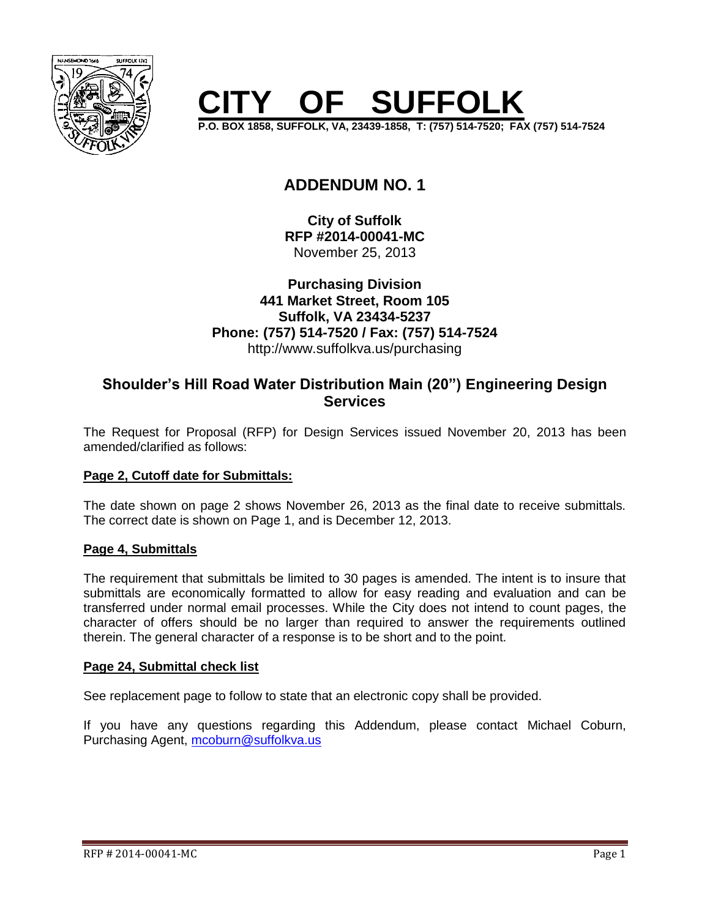

## **CISTS** SUFFOLK

**P.O. BOX 1858, SUFFOLK, VA, 23439-1858, T: (757) 514-7520; FAX (757) 514-7524**

### **ADDENDUM NO. 1**

**City of Suffolk RFP #2014-00041-MC** November 25, 2013

#### **Purchasing Division 441 Market Street, Room 105 Suffolk, VA 23434-5237 Phone: (757) 514-7520 / Fax: (757) 514-7524** http://www.suffolkva.us/purchasing

#### **Shoulder's Hill Road Water Distribution Main (20") Engineering Design Services**

The Request for Proposal (RFP) for Design Services issued November 20, 2013 has been amended/clarified as follows:

#### **Page 2, Cutoff date for Submittals:**

The date shown on page 2 shows November 26, 2013 as the final date to receive submittals. The correct date is shown on Page 1, and is December 12, 2013.

#### **Page 4, Submittals**

The requirement that submittals be limited to 30 pages is amended. The intent is to insure that submittals are economically formatted to allow for easy reading and evaluation and can be transferred under normal email processes. While the City does not intend to count pages, the character of offers should be no larger than required to answer the requirements outlined therein. The general character of a response is to be short and to the point.

#### **Page 24, Submittal check list**

See replacement page to follow to state that an electronic copy shall be provided.

If you have any questions regarding this Addendum, please contact Michael Coburn, Purchasing Agent, [mcoburn@suffolkva.us](mailto:mcoburn@suffolkva.us)